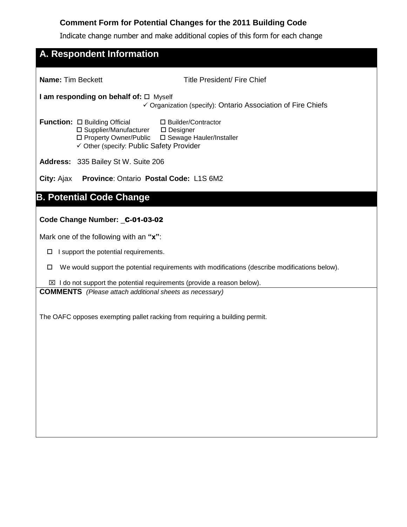## **Comment Form for Potential Changes for the 2011 Building Code**

Indicate change number and make additional copies of this form for each change

| <b>Name: Tim Beckett</b> |                                                                                                                                                 | Title President/ Fire Chief                                                                    |
|--------------------------|-------------------------------------------------------------------------------------------------------------------------------------------------|------------------------------------------------------------------------------------------------|
|                          | I am responding on behalf of: □ Myself                                                                                                          | ✓ Organization (specify): Ontario Association of Fire Chiefs                                   |
|                          | Function: $\Box$ Building Official<br>□ Supplier/Manufacturer □ Designer<br>□ Property Owner/Public<br>✓ Other (specify: Public Safety Provider | □ Builder/Contractor<br>□ Sewage Hauler/Installer                                              |
|                          | <b>Address: 335 Bailey St W. Suite 206</b>                                                                                                      |                                                                                                |
|                          | City: Ajax Province: Ontario Postal Code: L1S 6M2                                                                                               |                                                                                                |
|                          | <b>B. Potential Code Change</b>                                                                                                                 |                                                                                                |
|                          |                                                                                                                                                 |                                                                                                |
|                          | Code Change Number: _C-01-03-02                                                                                                                 |                                                                                                |
|                          |                                                                                                                                                 |                                                                                                |
| □                        | Mark one of the following with an "x":                                                                                                          |                                                                                                |
| □                        | I support the potential requirements.                                                                                                           | We would support the potential requirements with modifications (describe modifications below). |
|                          |                                                                                                                                                 |                                                                                                |
|                          | <b>COMMENTS</b> (Please attach additional sheets as necessary)                                                                                  | $\boxtimes$ I do not support the potential requirements (provide a reason below).              |
|                          |                                                                                                                                                 |                                                                                                |
|                          |                                                                                                                                                 | The OAFC opposes exempting pallet racking from requiring a building permit.                    |
|                          |                                                                                                                                                 |                                                                                                |
|                          |                                                                                                                                                 |                                                                                                |
|                          |                                                                                                                                                 |                                                                                                |
|                          |                                                                                                                                                 |                                                                                                |